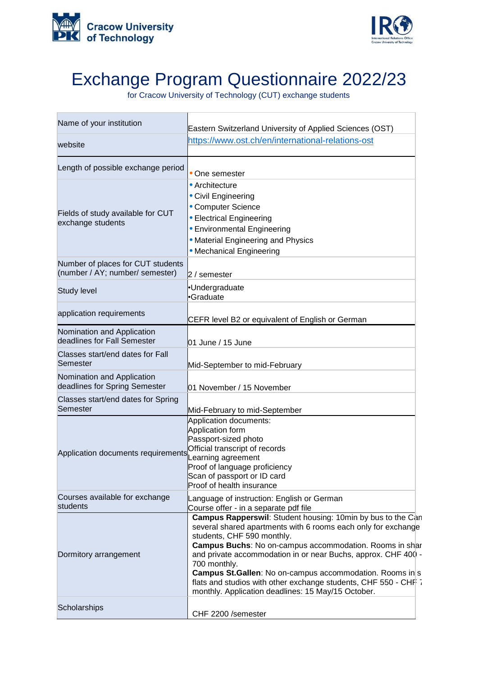



## Exchange Program Questionnaire 2022/23

for Cracow University of Technology (CUT) exchange students

| Name of your institution                                             | Eastern Switzerland University of Applied Sciences (OST)                                                                                                                                                                                                                                                                                                                                                                                                                                                  |
|----------------------------------------------------------------------|-----------------------------------------------------------------------------------------------------------------------------------------------------------------------------------------------------------------------------------------------------------------------------------------------------------------------------------------------------------------------------------------------------------------------------------------------------------------------------------------------------------|
| website                                                              | https://www.ost.ch/en/international-relations-ost                                                                                                                                                                                                                                                                                                                                                                                                                                                         |
| Length of possible exchange period                                   | One semester                                                                                                                                                                                                                                                                                                                                                                                                                                                                                              |
| Fields of study available for CUT<br>exchange students               | • Architecture<br>• Civil Engineering<br>• Computer Science<br>• Electrical Engineering<br>• Environmental Engineering<br>• Material Engineering and Physics<br>• Mechanical Engineering                                                                                                                                                                                                                                                                                                                  |
| Number of places for CUT students<br>(number / AY; number/ semester) | $2/$ semester                                                                                                                                                                                                                                                                                                                                                                                                                                                                                             |
| Study level                                                          | Undergraduate<br>l•Graduate                                                                                                                                                                                                                                                                                                                                                                                                                                                                               |
| application requirements                                             | CEFR level B2 or equivalent of English or German                                                                                                                                                                                                                                                                                                                                                                                                                                                          |
| Nomination and Application<br>deadlines for Fall Semester            | 01 June / 15 June                                                                                                                                                                                                                                                                                                                                                                                                                                                                                         |
| Classes start/end dates for Fall<br>Semester                         | Mid-September to mid-February                                                                                                                                                                                                                                                                                                                                                                                                                                                                             |
| Nomination and Application<br>deadlines for Spring Semester          | 01 November / 15 November                                                                                                                                                                                                                                                                                                                                                                                                                                                                                 |
| Classes start/end dates for Spring<br>Semester                       | Mid-February to mid-September                                                                                                                                                                                                                                                                                                                                                                                                                                                                             |
| Application documents requirements                                   | Application documents:<br>Application form<br>Passport-sized photo<br>Official transcript of records<br>earning agreement<br>Proof of language proficiency<br>Scan of passport or ID card<br>Proof of health insurance                                                                                                                                                                                                                                                                                    |
| Courses available for exchange<br>students                           | Language of instruction: English or German<br>Course offer - in a separate pdf file                                                                                                                                                                                                                                                                                                                                                                                                                       |
| Dormitory arrangement                                                | Campus Rapperswil: Student housing: 10min by bus to the Can<br>several shared apartments with 6 rooms each only for exchange<br>students, CHF 590 monthly.<br><b>Campus Buchs:</b> No on-campus accommodation. Rooms in shar<br>and private accommodation in or near Buchs, approx. CHF 400 -<br>700 monthly.<br><b>Campus St.Gallen: No on-campus accommodation. Rooms in s</b><br>flats and studios with other exchange students, CHF 550 - CHF 7<br>monthly. Application deadlines: 15 May/15 October. |
| Scholarships                                                         | CHF 2200 /semester                                                                                                                                                                                                                                                                                                                                                                                                                                                                                        |